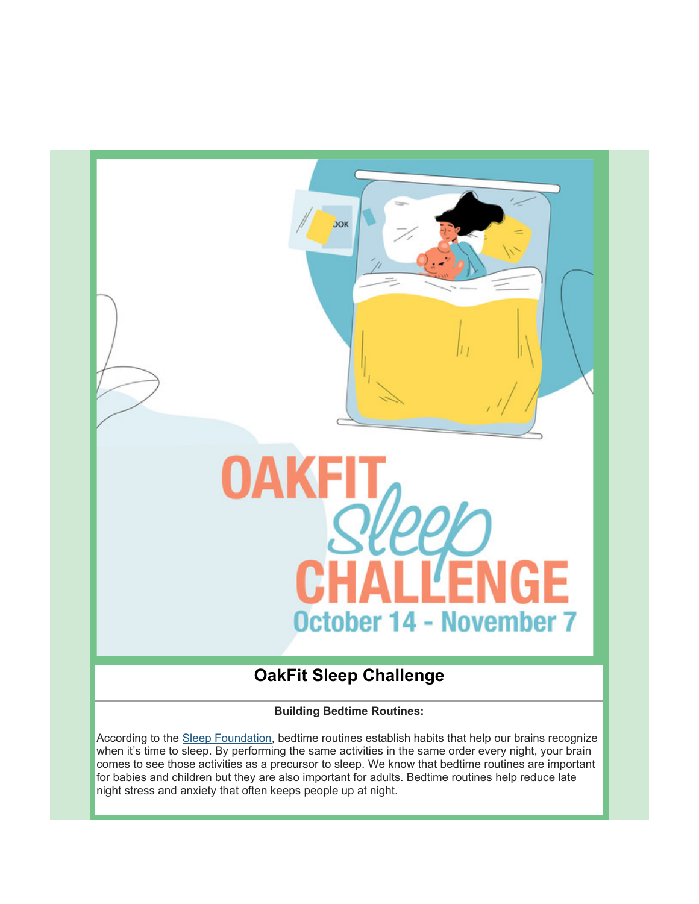